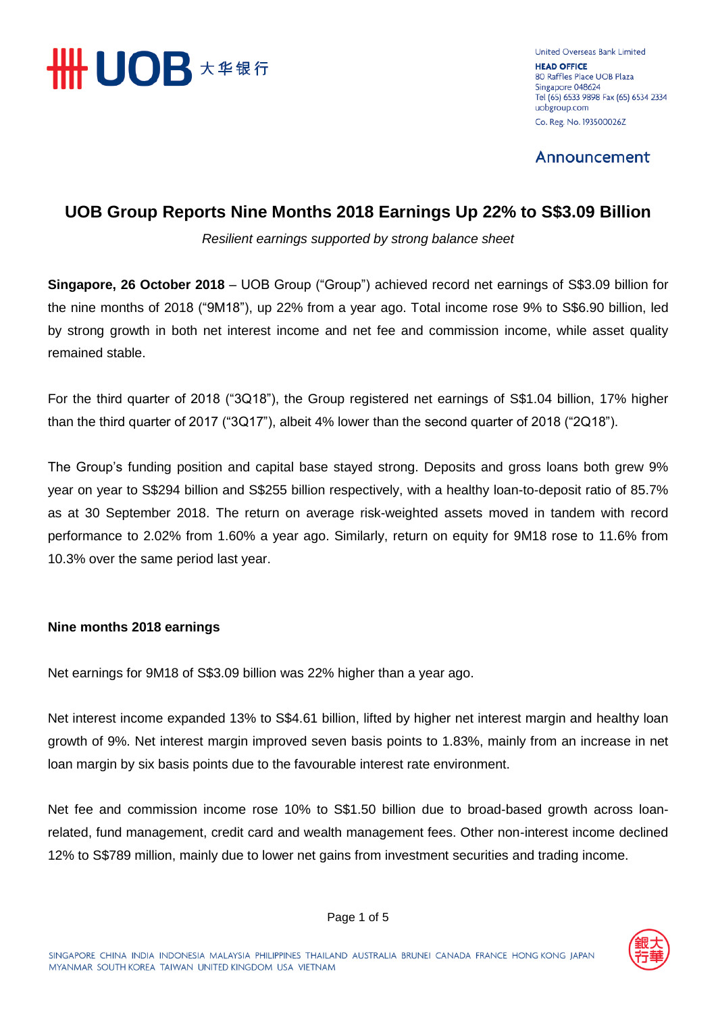

United Overseas Bank Limited **HEAD OFFICE** 80 Raffles Place UOB Plaza Singapore 048624 Tel (65) 6533 9898 Fax (65) 6534 2334 uobgroup.com Co. Reg. No. 193500026Z

Announcement

# **UOB Group Reports Nine Months 2018 Earnings Up 22% to S\$3.09 Billion**

*Resilient earnings supported by strong balance sheet*

**Singapore, 26 October 2018** – UOB Group ("Group") achieved record net earnings of S\$3.09 billion for the nine months of 2018 ("9M18"), up 22% from a year ago. Total income rose 9% to S\$6.90 billion, led by strong growth in both net interest income and net fee and commission income, while asset quality remained stable.

For the third quarter of 2018 ("3Q18"), the Group registered net earnings of S\$1.04 billion, 17% higher than the third quarter of 2017 ("3Q17"), albeit 4% lower than the second quarter of 2018 ("2Q18").

The Group's funding position and capital base stayed strong. Deposits and gross loans both grew 9% year on year to S\$294 billion and S\$255 billion respectively, with a healthy loan-to-deposit ratio of 85.7% as at 30 September 2018. The return on average risk-weighted assets moved in tandem with record performance to 2.02% from 1.60% a year ago. Similarly, return on equity for 9M18 rose to 11.6% from 10.3% over the same period last year.

### **Nine months 2018 earnings**

Net earnings for 9M18 of S\$3.09 billion was 22% higher than a year ago.

Net interest income expanded 13% to S\$4.61 billion, lifted by higher net interest margin and healthy loan growth of 9%. Net interest margin improved seven basis points to 1.83%, mainly from an increase in net loan margin by six basis points due to the favourable interest rate environment.

Net fee and commission income rose 10% to S\$1.50 billion due to broad-based growth across loanrelated, fund management, credit card and wealth management fees. Other non-interest income declined 12% to S\$789 million, mainly due to lower net gains from investment securities and trading income.

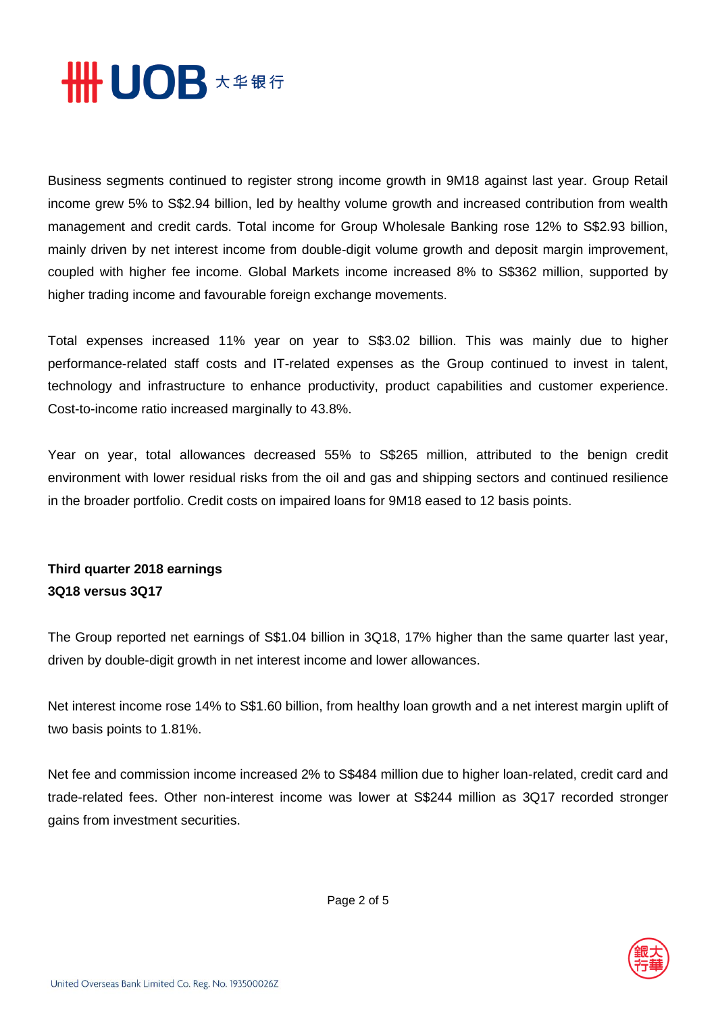

Business segments continued to register strong income growth in 9M18 against last year. Group Retail income grew 5% to S\$2.94 billion, led by healthy volume growth and increased contribution from wealth management and credit cards. Total income for Group Wholesale Banking rose 12% to S\$2.93 billion, mainly driven by net interest income from double-digit volume growth and deposit margin improvement, coupled with higher fee income. Global Markets income increased 8% to S\$362 million, supported by higher trading income and favourable foreign exchange movements.

Total expenses increased 11% year on year to S\$3.02 billion. This was mainly due to higher performance-related staff costs and IT-related expenses as the Group continued to invest in talent, technology and infrastructure to enhance productivity, product capabilities and customer experience. Cost-to-income ratio increased marginally to 43.8%.

Year on year, total allowances decreased 55% to S\$265 million, attributed to the benign credit environment with lower residual risks from the oil and gas and shipping sectors and continued resilience in the broader portfolio. Credit costs on impaired loans for 9M18 eased to 12 basis points.

## **Third quarter 2018 earnings 3Q18 versus 3Q17**

The Group reported net earnings of S\$1.04 billion in 3Q18, 17% higher than the same quarter last year, driven by double-digit growth in net interest income and lower allowances.

Net interest income rose 14% to S\$1.60 billion, from healthy loan growth and a net interest margin uplift of two basis points to 1.81%.

Net fee and commission income increased 2% to S\$484 million due to higher loan-related, credit card and trade-related fees. Other non-interest income was lower at S\$244 million as 3Q17 recorded stronger gains from investment securities.

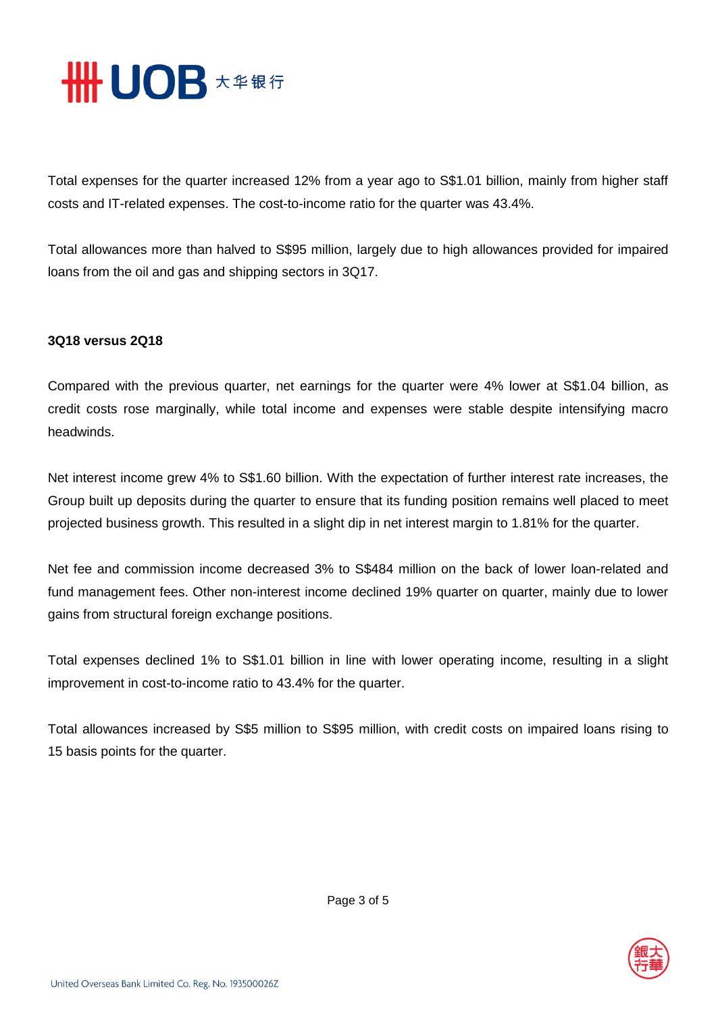

Total expenses for the quarter increased 12% from a year ago to S\$1.01 billion, mainly from higher staff costs and IT-related expenses. The cost-to-income ratio for the quarter was 43.4%.

Total allowances more than halved to S\$95 million, largely due to high allowances provided for impaired loans from the oil and gas and shipping sectors in 3Q17.

### **3Q18 versus 2Q18**

Compared with the previous quarter, net earnings for the quarter were 4% lower at S\$1.04 billion, as credit costs rose marginally, while total income and expenses were stable despite intensifying macro headwinds.

Net interest income grew 4% to S\$1.60 billion. With the expectation of further interest rate increases, the Group built up deposits during the quarter to ensure that its funding position remains well placed to meet projected business growth. This resulted in a slight dip in net interest margin to 1.81% for the quarter.

Net fee and commission income decreased 3% to S\$484 million on the back of lower loan-related and fund management fees. Other non-interest income declined 19% quarter on quarter, mainly due to lower gains from structural foreign exchange positions.

Total expenses declined 1% to S\$1.01 billion in line with lower operating income, resulting in a slight improvement in cost-to-income ratio to 43.4% for the quarter.

Total allowances increased by S\$5 million to S\$95 million, with credit costs on impaired loans rising to 15 basis points for the quarter.

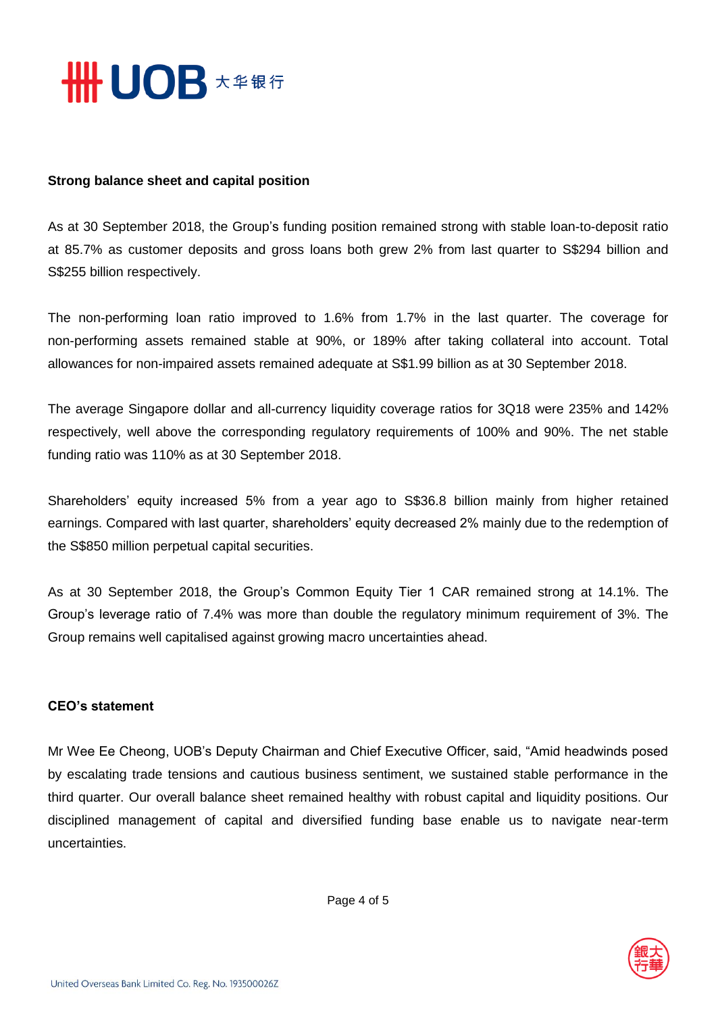

#### **Strong balance sheet and capital position**

As at 30 September 2018, the Group's funding position remained strong with stable loan-to-deposit ratio at 85.7% as customer deposits and gross loans both grew 2% from last quarter to S\$294 billion and S\$255 billion respectively.

The non-performing loan ratio improved to 1.6% from 1.7% in the last quarter. The coverage for non-performing assets remained stable at 90%, or 189% after taking collateral into account. Total allowances for non-impaired assets remained adequate at S\$1.99 billion as at 30 September 2018.

The average Singapore dollar and all-currency liquidity coverage ratios for 3Q18 were 235% and 142% respectively, well above the corresponding regulatory requirements of 100% and 90%. The net stable funding ratio was 110% as at 30 September 2018.

Shareholders' equity increased 5% from a year ago to S\$36.8 billion mainly from higher retained earnings. Compared with last quarter, shareholders' equity decreased 2% mainly due to the redemption of the S\$850 million perpetual capital securities.

As at 30 September 2018, the Group's Common Equity Tier 1 CAR remained strong at 14.1%. The Group's leverage ratio of 7.4% was more than double the regulatory minimum requirement of 3%. The Group remains well capitalised against growing macro uncertainties ahead.

#### **CEO's statement**

Mr Wee Ee Cheong, UOB's Deputy Chairman and Chief Executive Officer, said, "Amid headwinds posed by escalating trade tensions and cautious business sentiment, we sustained stable performance in the third quarter. Our overall balance sheet remained healthy with robust capital and liquidity positions. Our disciplined management of capital and diversified funding base enable us to navigate near-term uncertainties.